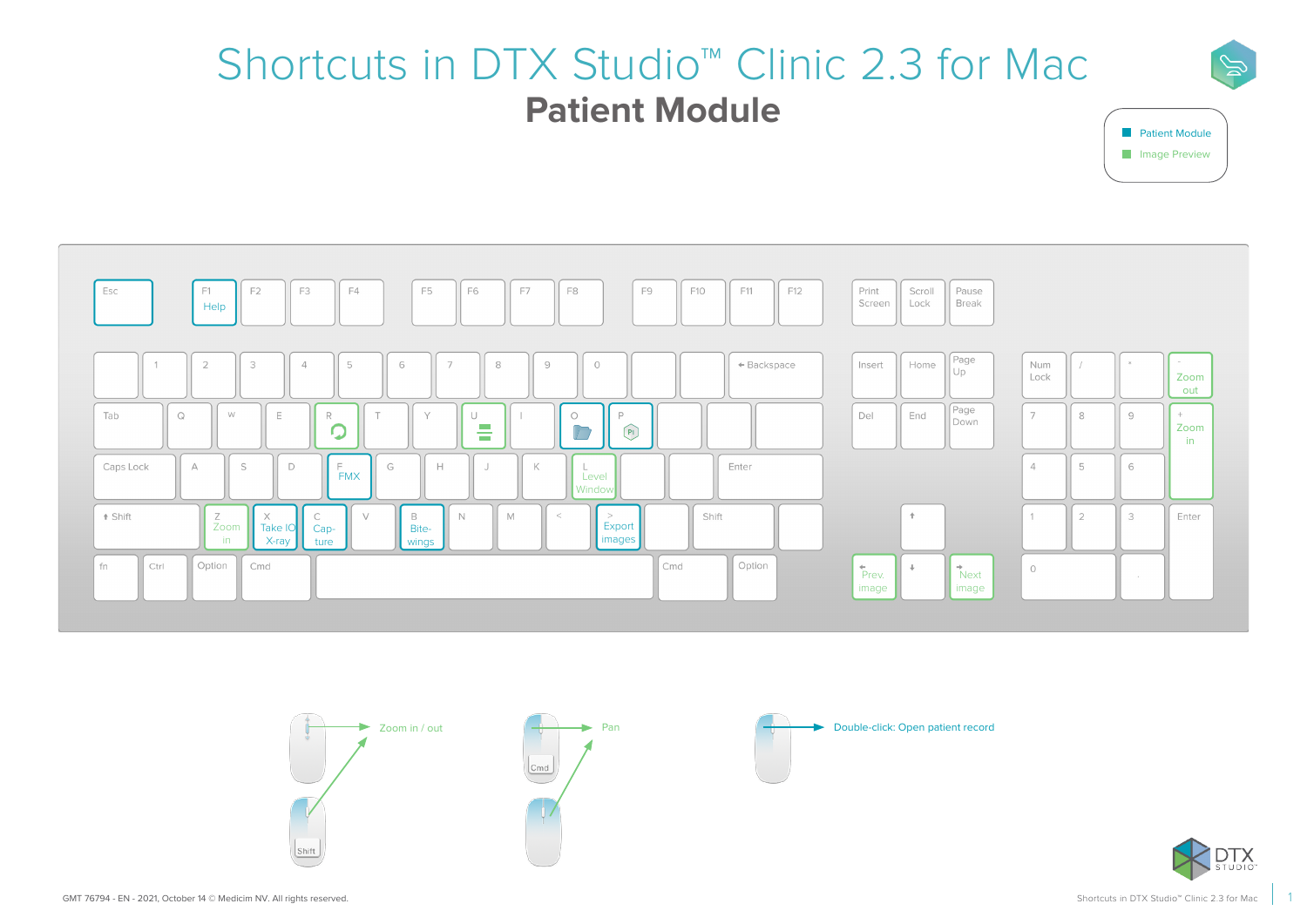# Shortcuts in DTX Studio™ Clinic 2.3 for Mac **Patient Module**











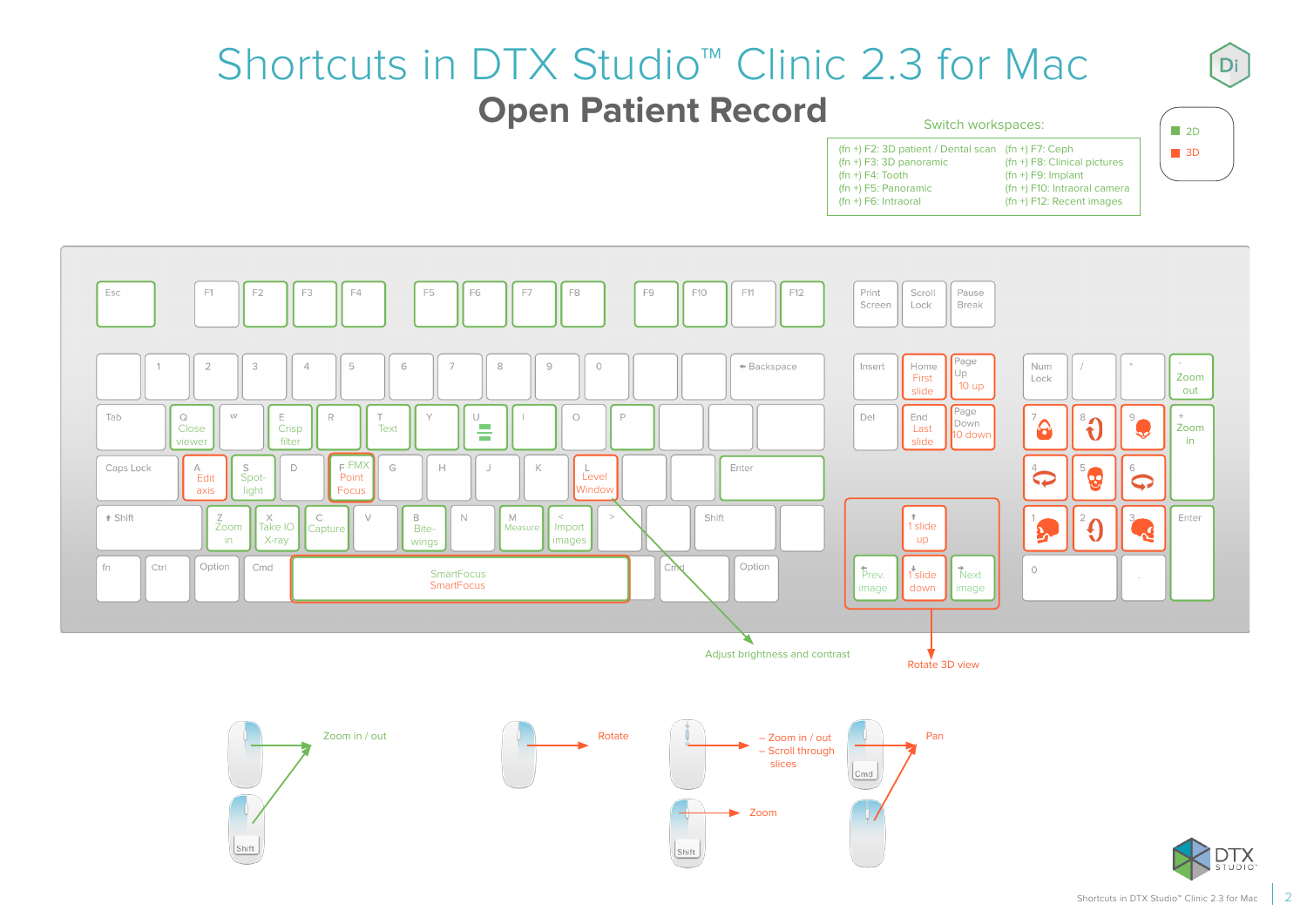#### Shortcuts in DTX Studio™ Clinic 2.3 for Mac **Open Patient Record** Switch workspaces:

| <b>OWNLUT WORKSPUCCS.</b>                                                          |                                            |  |
|------------------------------------------------------------------------------------|--------------------------------------------|--|
| $(\text{fn} + \text{F2}: 3D$ patient / Dental scan $(\text{fn} + \text{F7}: Ceph)$ |                                            |  |
| $(\text{fn} + \text{F3}: 3D$ panoramic                                             | (fn +) F8: Clinical pictures               |  |
| $(\text{fn} + \text{F4} : \text{Tooth})$                                           | $(\text{fn} + \text{F9: Implant})$         |  |
| $(\text{fn} + \text{F5: Panoramic})$                                               | (fn +) F10: Intraoral camera               |  |
| $(fn +)$ F6: Intraoral                                                             | $(\text{fn} + \text{F12})$ : Recent images |  |
|                                                                                    |                                            |  |







 $\blacksquare$  2D **3D**  Di